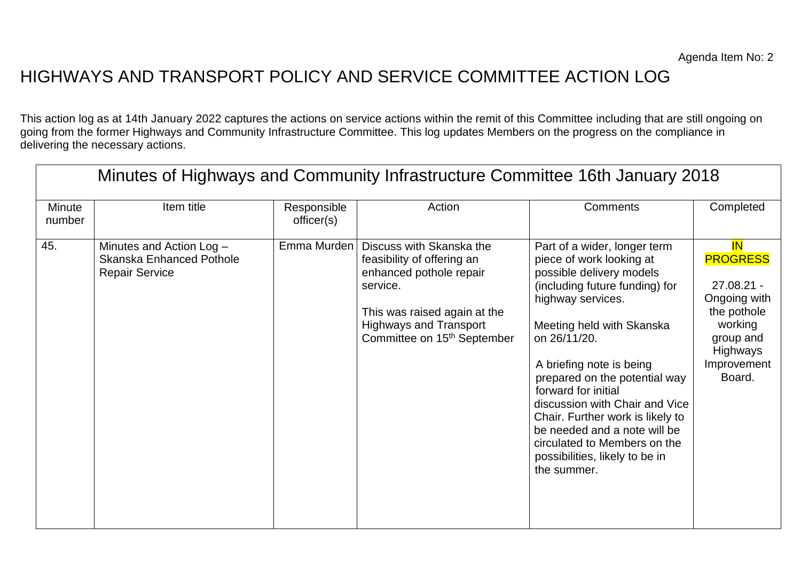## HIGHWAYS AND TRANSPORT POLICY AND SERVICE COMMITTEE ACTION LOG

This action log as at 14th January 2022 captures the actions on service actions within the remit of this Committee including that are still ongoing on going from the former Highways and Community Infrastructure Committee. This log updates Members on the progress on the compliance in delivering the necessary actions.

| Minutes of Highways and Community Infrastructure Committee 16th January 2018 |                                                                               |                           |                                                                                                                                                                                                           |                                                                                                                                                                                                                                                                                                                                                                                                                                                                     |                                                                                                                                          |  |
|------------------------------------------------------------------------------|-------------------------------------------------------------------------------|---------------------------|-----------------------------------------------------------------------------------------------------------------------------------------------------------------------------------------------------------|---------------------------------------------------------------------------------------------------------------------------------------------------------------------------------------------------------------------------------------------------------------------------------------------------------------------------------------------------------------------------------------------------------------------------------------------------------------------|------------------------------------------------------------------------------------------------------------------------------------------|--|
| <b>Minute</b><br>number                                                      | Item title                                                                    | Responsible<br>officer(s) | Action                                                                                                                                                                                                    | <b>Comments</b>                                                                                                                                                                                                                                                                                                                                                                                                                                                     | Completed                                                                                                                                |  |
| 45.                                                                          | Minutes and Action Log -<br>Skanska Enhanced Pothole<br><b>Repair Service</b> | Emma Murden               | Discuss with Skanska the<br>feasibility of offering an<br>enhanced pothole repair<br>service.<br>This was raised again at the<br><b>Highways and Transport</b><br>Committee on 15 <sup>th</sup> September | Part of a wider, longer term<br>piece of work looking at<br>possible delivery models<br>(including future funding) for<br>highway services.<br>Meeting held with Skanska<br>on 26/11/20.<br>A briefing note is being<br>prepared on the potential way<br>forward for initial<br>discussion with Chair and Vice<br>Chair. Further work is likely to<br>be needed and a note will be<br>circulated to Members on the<br>possibilities, likely to be in<br>the summer. | <b>IN</b><br><b>PROGRESS</b><br>$27.08.21 -$<br>Ongoing with<br>the pothole<br>working<br>group and<br>Highways<br>Improvement<br>Board. |  |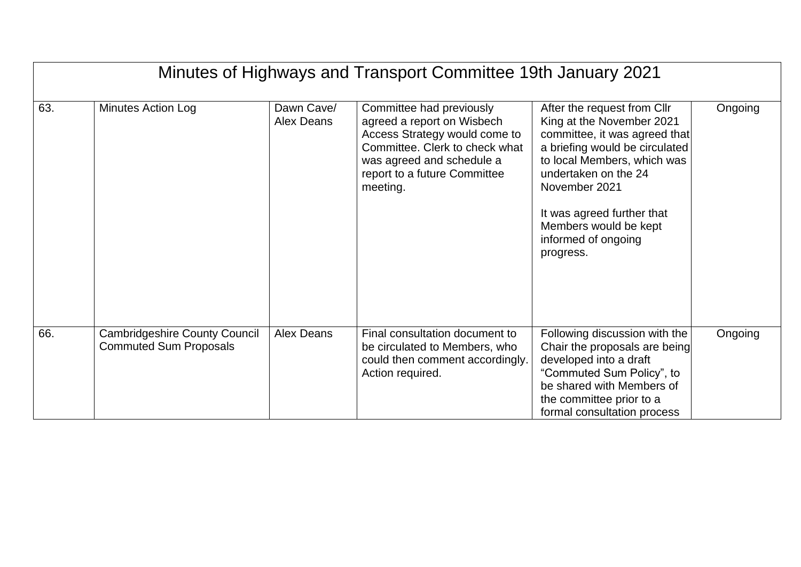| Minutes of Highways and Transport Committee 19th January 2021 |                                                                       |                          |                                                                                                                                                                                                    |                                                                                                                                                                                                                                                                                                |         |  |
|---------------------------------------------------------------|-----------------------------------------------------------------------|--------------------------|----------------------------------------------------------------------------------------------------------------------------------------------------------------------------------------------------|------------------------------------------------------------------------------------------------------------------------------------------------------------------------------------------------------------------------------------------------------------------------------------------------|---------|--|
| 63.                                                           | <b>Minutes Action Log</b>                                             | Dawn Cave/<br>Alex Deans | Committee had previously<br>agreed a report on Wisbech<br>Access Strategy would come to<br>Committee. Clerk to check what<br>was agreed and schedule a<br>report to a future Committee<br>meeting. | After the request from Cllr<br>King at the November 2021<br>committee, it was agreed that<br>a briefing would be circulated<br>to local Members, which was<br>undertaken on the 24<br>November 2021<br>It was agreed further that<br>Members would be kept<br>informed of ongoing<br>progress. | Ongoing |  |
| 66.                                                           | <b>Cambridgeshire County Council</b><br><b>Commuted Sum Proposals</b> | Alex Deans               | Final consultation document to<br>be circulated to Members, who<br>could then comment accordingly.<br>Action required.                                                                             | Following discussion with the<br>Chair the proposals are being<br>developed into a draft<br>"Commuted Sum Policy", to<br>be shared with Members of<br>the committee prior to a<br>formal consultation process                                                                                  | Ongoing |  |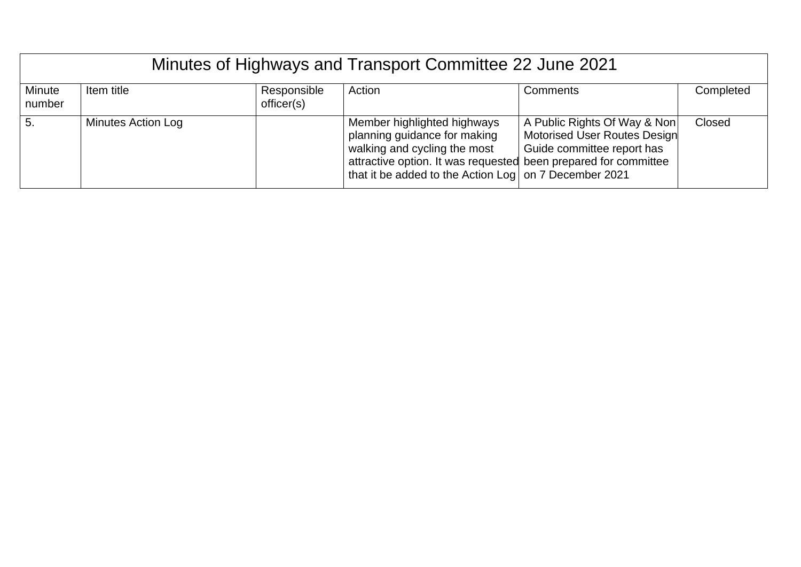| Minutes of Highways and Transport Committee 22 June 2021 |                           |                           |                                                                                                                                                                                                                         |                                                                                            |           |  |
|----------------------------------------------------------|---------------------------|---------------------------|-------------------------------------------------------------------------------------------------------------------------------------------------------------------------------------------------------------------------|--------------------------------------------------------------------------------------------|-----------|--|
| Minute<br>number                                         | Item title                | Responsible<br>officer(s) | Action                                                                                                                                                                                                                  | Comments                                                                                   | Completed |  |
| 5.                                                       | <b>Minutes Action Log</b> |                           | Member highlighted highways<br>planning guidance for making<br>walking and cycling the most<br>attractive option. It was requested been prepared for committee<br>that it be added to the Action Log on 7 December 2021 | A Public Rights Of Way & Non<br>Motorised User Routes Design<br>Guide committee report has | Closed    |  |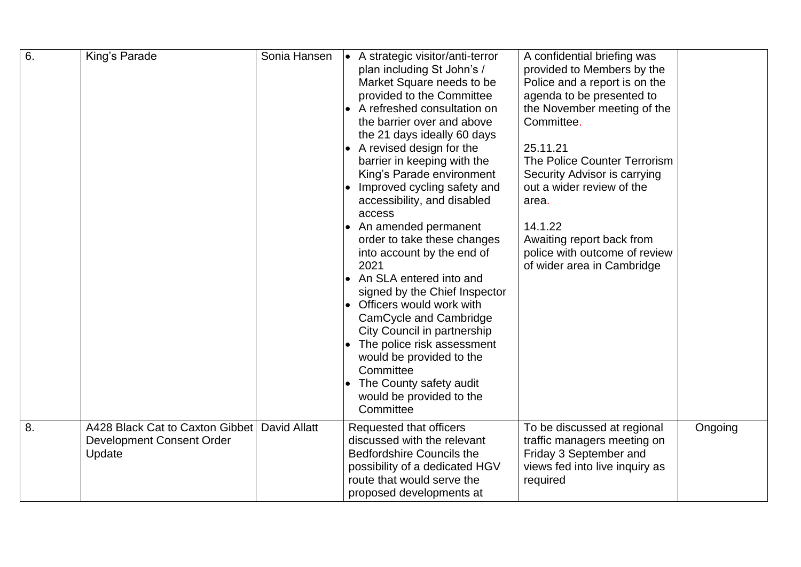| 6. | King's Parade                                                          | Sonia Hansen        | A strategic visitor/anti-terror<br>plan including St John's /<br>Market Square needs to be<br>provided to the Committee<br>A refreshed consultation on<br>the barrier over and above<br>the 21 days ideally 60 days<br>A revised design for the<br>barrier in keeping with the<br>King's Parade environment<br>Improved cycling safety and<br>accessibility, and disabled<br>access<br>An amended permanent<br>order to take these changes<br>into account by the end of<br>2021<br>An SLA entered into and<br>signed by the Chief Inspector<br>Officers would work with<br>$\bullet$<br>CamCycle and Cambridge<br>City Council in partnership<br>The police risk assessment<br>would be provided to the<br>Committee<br>The County safety audit<br>would be provided to the<br>Committee | A confidential briefing was<br>provided to Members by the<br>Police and a report is on the<br>agenda to be presented to<br>the November meeting of the<br>Committee.<br>25.11.21<br>The Police Counter Terrorism<br>Security Advisor is carrying<br>out a wider review of the<br>area.<br>14.1.22<br>Awaiting report back from<br>police with outcome of review<br>of wider area in Cambridge |         |
|----|------------------------------------------------------------------------|---------------------|-------------------------------------------------------------------------------------------------------------------------------------------------------------------------------------------------------------------------------------------------------------------------------------------------------------------------------------------------------------------------------------------------------------------------------------------------------------------------------------------------------------------------------------------------------------------------------------------------------------------------------------------------------------------------------------------------------------------------------------------------------------------------------------------|-----------------------------------------------------------------------------------------------------------------------------------------------------------------------------------------------------------------------------------------------------------------------------------------------------------------------------------------------------------------------------------------------|---------|
| 8. | A428 Black Cat to Caxton Gibbet<br>Development Consent Order<br>Update | <b>David Allatt</b> | Requested that officers<br>discussed with the relevant<br><b>Bedfordshire Councils the</b><br>possibility of a dedicated HGV<br>route that would serve the<br>proposed developments at                                                                                                                                                                                                                                                                                                                                                                                                                                                                                                                                                                                                    | To be discussed at regional<br>traffic managers meeting on<br>Friday 3 September and<br>views fed into live inquiry as<br>required                                                                                                                                                                                                                                                            | Ongoing |

Wyboston Wyboston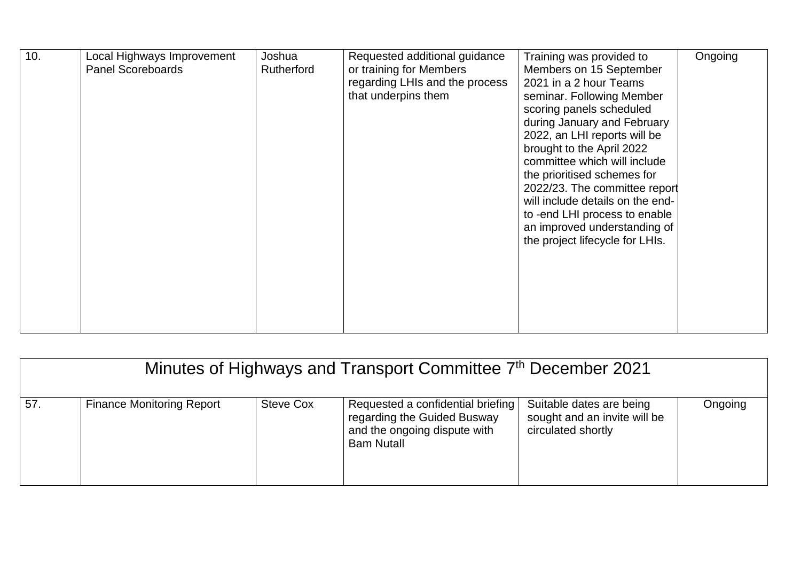| 10. | Local Highways Improvement<br><b>Panel Scoreboards</b> | Joshua<br><b>Rutherford</b> | Requested additional guidance<br>or training for Members<br>regarding LHIs and the process<br>that underpins them | Training was provided to<br>Members on 15 September<br>2021 in a 2 hour Teams<br>seminar. Following Member<br>scoring panels scheduled<br>during January and February<br>2022, an LHI reports will be<br>brought to the April 2022<br>committee which will include<br>the prioritised schemes for<br>2022/23. The committee report<br>will include details on the end-<br>to -end LHI process to enable<br>an improved understanding of<br>the project lifecycle for LHIs. | Ongoing |
|-----|--------------------------------------------------------|-----------------------------|-------------------------------------------------------------------------------------------------------------------|----------------------------------------------------------------------------------------------------------------------------------------------------------------------------------------------------------------------------------------------------------------------------------------------------------------------------------------------------------------------------------------------------------------------------------------------------------------------------|---------|
|-----|--------------------------------------------------------|-----------------------------|-------------------------------------------------------------------------------------------------------------------|----------------------------------------------------------------------------------------------------------------------------------------------------------------------------------------------------------------------------------------------------------------------------------------------------------------------------------------------------------------------------------------------------------------------------------------------------------------------------|---------|

| Minutes of Highways and Transport Committee 7th December 2021 |                                  |                  |                                                                                                                       |                                                                                |         |  |
|---------------------------------------------------------------|----------------------------------|------------------|-----------------------------------------------------------------------------------------------------------------------|--------------------------------------------------------------------------------|---------|--|
| 57.                                                           | <b>Finance Monitoring Report</b> | <b>Steve Cox</b> | Requested a confidential briefing<br>regarding the Guided Busway<br>and the ongoing dispute with<br><b>Bam Nutall</b> | Suitable dates are being<br>sought and an invite will be<br>circulated shortly | Ongoing |  |